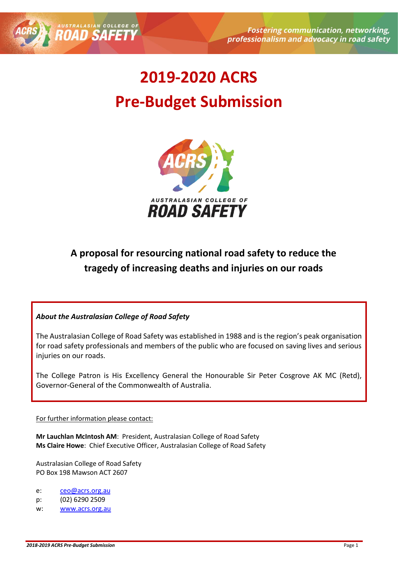





# **A proposal for resourcing national road safety to reduce the tragedy of increasing deaths and injuries on our roads**

#### *About the Australasian College of Road Safety*

AUSTRALASIAN COLLE

The Australasian College of Road Safety was established in 1988 and is the region's peak organisation for road safety professionals and members of the public who are focused on saving lives and serious injuries on our roads.

The College Patron is His Excellency General the Honourable Sir Peter Cosgrove AK MC (Retd), Governor-General of the Commonwealth of Australia.

#### For further information please contact:

**Mr Lauchlan McIntosh AM**: President, Australasian College of Road Safety **Ms Claire Howe**: Chief Executive Officer, Australasian College of Road Safety

Australasian College of Road Safety PO Box 198 Mawson ACT 2607

#### e: [ceo@acrs.org.au](mailto:ceo@acrs.org.au)

- p: (02) 6290 2509
- w: [www.acrs.org.au](http://www.acrs.org.au/)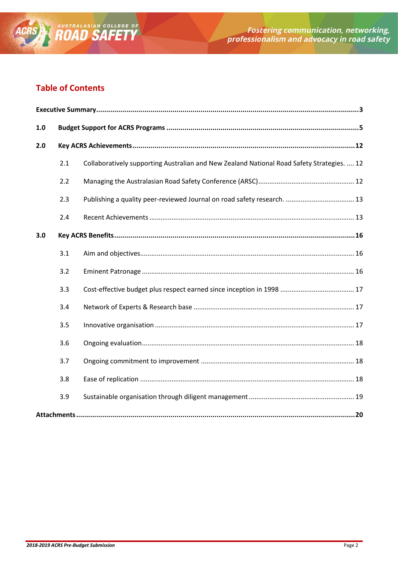

## **Table of Contents**

| $1.0$ |     |                                                                                            |  |  |  |  |
|-------|-----|--------------------------------------------------------------------------------------------|--|--|--|--|
| 2.0   |     |                                                                                            |  |  |  |  |
|       | 2.1 | Collaboratively supporting Australian and New Zealand National Road Safety Strategies.  12 |  |  |  |  |
|       | 2.2 |                                                                                            |  |  |  |  |
|       | 2.3 |                                                                                            |  |  |  |  |
|       | 2.4 |                                                                                            |  |  |  |  |
| 3.0   |     |                                                                                            |  |  |  |  |
|       | 3.1 |                                                                                            |  |  |  |  |
|       | 3.2 |                                                                                            |  |  |  |  |
|       | 3.3 |                                                                                            |  |  |  |  |
|       | 3.4 |                                                                                            |  |  |  |  |
|       | 3.5 |                                                                                            |  |  |  |  |
|       | 3.6 |                                                                                            |  |  |  |  |
|       | 3.7 |                                                                                            |  |  |  |  |
|       | 3.8 |                                                                                            |  |  |  |  |
|       | 3.9 |                                                                                            |  |  |  |  |
|       |     |                                                                                            |  |  |  |  |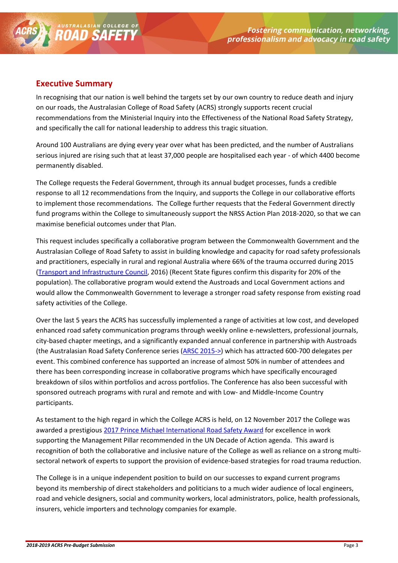

### <span id="page-2-0"></span>**Executive Summary**

In recognising that our nation is well behind the targets set by our own country to reduce death and injury on our roads, the Australasian College of Road Safety (ACRS) strongly supports recent crucial recommendations from the Ministerial Inquiry into the Effectiveness of the National Road Safety Strategy, and specifically the call for national leadership to address this tragic situation.

Around 100 Australians are dying every year over what has been predicted, and the number of Australians serious injured are rising such that at least 37,000 people are hospitalised each year - of which 4400 become permanently disabled.

The College requests the Federal Government, through its annual budget processes, funds a credible response to all 12 recommendations from the Inquiry, and supports the College in our collaborative efforts to implement those recommendations. The College further requests that the Federal Government directly fund programs within the College to simultaneously support the NRSS Action Plan 2018-2020, so that we can maximise beneficial outcomes under that Plan.

This request includes specifically a collaborative program between the Commonwealth Government and the Australasian College of Road Safety to assist in building knowledge and capacity for road safety professionals and practitioners, especially in rural and regional Australia where 66% of the trauma occurred during 2015 [\(Transport and Infrastructure Council,](http://transportinfrastructurecouncil.gov.au/communique/files/Road-Safety-Forum-Communique-20161103.pdf) 2016) (Recent State figures confirm this disparity for 20% of the population). The collaborative program would extend the Austroads and Local Government actions and would allow the Commonwealth Government to leverage a stronger road safety response from existing road safety activities of the College.

Over the last 5 years the ACRS has successfully implemented a range of activities at low cost, and developed enhanced road safety communication programs through weekly online e-newsletters, professional journals, city-based chapter meetings, and a significantly expanded annual conference in partnership with Austroads (the Australasian Road Safety Conference series [\(ARSC 2015->\)](http://australasianroadsafetyconference.com.au/) which has attracted 600-700 delegates per event. This combined conference has supported an increase of almost 50% in number of attendees and there has been corresponding increase in collaborative programs which have specifically encouraged breakdown of silos within portfolios and across portfolios. The Conference has also been successful with sponsored outreach programs with rural and remote and with Low- and Middle-Income Country participants.

As testament to the high regard in which the College ACRS is held, on 12 November 2017 the College was awarded a prestigious [2017 Prince Michael International Road Safety Award](http://mailchi.mp/acrs/world-day-of-remembrance-for-road-traffic-victims-joint-governor-generalacrs-media-release-999493?e=0b4101e276) for excellence in work supporting the Management Pillar recommended in the UN Decade of Action agenda. This award is recognition of both the collaborative and inclusive nature of the College as well as reliance on a strong multisectoral network of experts to support the provision of evidence-based strategies for road trauma reduction.

The College is in a unique independent position to build on our successes to expand current programs beyond its membership of direct stakeholders and politicians to a much wider audience of local engineers, road and vehicle designers, social and community workers, local administrators, police, health professionals, insurers, vehicle importers and technology companies for example.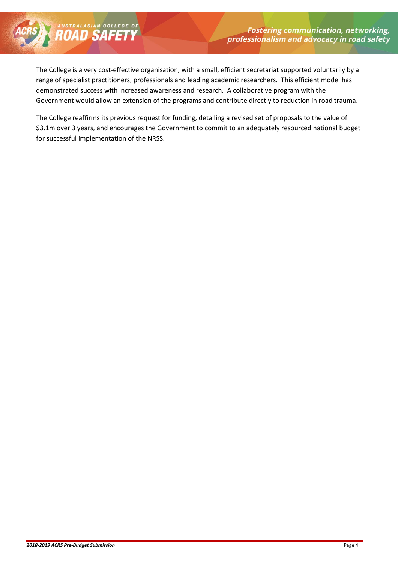The College is a very cost-effective organisation, with a small, efficient secretariat supported voluntarily by a range of specialist practitioners, professionals and leading academic researchers. This efficient model has demonstrated success with increased awareness and research. A collaborative program with the Government would allow an extension of the programs and contribute directly to reduction in road trauma.

AUSTRALASIAN COLLEGE OF

The College reaffirms its previous request for funding, detailing a revised set of proposals to the value of \$3.1m over 3 years, and encourages the Government to commit to an adequately resourced national budget for successful implementation of the NRSS.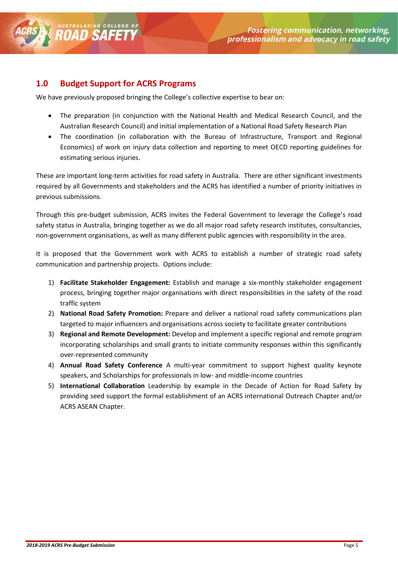### <span id="page-4-0"></span>**1.0 Budget Support for ACRS Programs**

AUSTRALASIAN COLLED

We have previously proposed bringing the College's collective expertise to bear on:

- The preparation (in conjunction with the National Health and Medical Research Council, and the Australian Research Council) and initial implementation of a National Road Safety Research Plan
- The coordination (in collaboration with the Bureau of Infrastructure, Transport and Regional Economics) of work on injury data collection and reporting to meet OECD reporting guidelines for estimating serious injuries.

These are important long-term activities for road safety in Australia. There are other significant investments required by all Governments and stakeholders and the ACRS has identified a number of priority initiatives in previous submissions.

Through this pre-budget submission, ACRS invites the Federal Government to leverage the College's road safety status in Australia, bringing together as we do all major road safety research institutes, consultancies, non-government organisations, as well as many different public agencies with responsibility in the area.

It is proposed that the Government work with ACRS to establish a number of strategic road safety communication and partnership projects. Options include:

- 1) **Facilitate Stakeholder Engagement:** Establish and manage a six-monthly stakeholder engagement process, bringing together major organisations with direct responsibilities in the safety of the road traffic system
- 2) **National Road Safety Promotion:** Prepare and deliver a national road safety communications plan targeted to major influencers and organisations across society to facilitate greater contributions
- 3) **Regional and Remote Development:** Develop and implement a specific regional and remote program incorporating scholarships and small grants to initiate community responses within this significantly over-represented community
- 4) **Annual Road Safety Conference** A multi-year commitment to support highest quality keynote speakers, and Scholarships for professionals in low- and middle-income countries
- 5) **International Collaboration** Leadership by example in the Decade of Action for Road Safety by providing seed support the formal establishment of an ACRS international Outreach Chapter and/or ACRS ASEAN Chapter.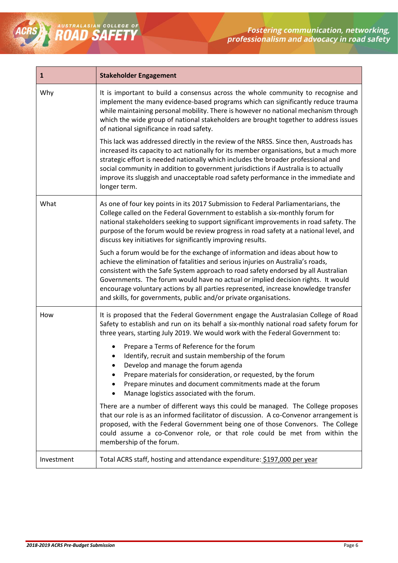| $\mathbf{1}$ | <b>Stakeholder Engagement</b>                                                                                                                                                                                                                                                                                                                                                                                                                                                                                                                                                                                                                                                                                                                                                                                                                                                                                                                                            |  |
|--------------|--------------------------------------------------------------------------------------------------------------------------------------------------------------------------------------------------------------------------------------------------------------------------------------------------------------------------------------------------------------------------------------------------------------------------------------------------------------------------------------------------------------------------------------------------------------------------------------------------------------------------------------------------------------------------------------------------------------------------------------------------------------------------------------------------------------------------------------------------------------------------------------------------------------------------------------------------------------------------|--|
| Why          | It is important to build a consensus across the whole community to recognise and<br>implement the many evidence-based programs which can significantly reduce trauma<br>while maintaining personal mobility. There is however no national mechanism through<br>which the wide group of national stakeholders are brought together to address issues<br>of national significance in road safety.                                                                                                                                                                                                                                                                                                                                                                                                                                                                                                                                                                          |  |
|              | This lack was addressed directly in the review of the NRSS. Since then, Austroads has<br>increased its capacity to act nationally for its member organisations, but a much more<br>strategic effort is needed nationally which includes the broader professional and<br>social community in addition to government jurisdictions if Australia is to actually<br>improve its sluggish and unacceptable road safety performance in the immediate and<br>longer term.                                                                                                                                                                                                                                                                                                                                                                                                                                                                                                       |  |
| What         | As one of four key points in its 2017 Submission to Federal Parliamentarians, the<br>College called on the Federal Government to establish a six-monthly forum for<br>national stakeholders seeking to support significant improvements in road safety. The<br>purpose of the forum would be review progress in road safety at a national level, and<br>discuss key initiatives for significantly improving results.                                                                                                                                                                                                                                                                                                                                                                                                                                                                                                                                                     |  |
|              | Such a forum would be for the exchange of information and ideas about how to<br>achieve the elimination of fatalities and serious injuries on Australia's roads,<br>consistent with the Safe System approach to road safety endorsed by all Australian<br>Governments. The forum would have no actual or implied decision rights. It would<br>encourage voluntary actions by all parties represented, increase knowledge transfer<br>and skills, for governments, public and/or private organisations.                                                                                                                                                                                                                                                                                                                                                                                                                                                                   |  |
| How          | It is proposed that the Federal Government engage the Australasian College of Road<br>Safety to establish and run on its behalf a six-monthly national road safety forum for<br>three years, starting July 2019. We would work with the Federal Government to:<br>Prepare a Terms of Reference for the forum<br>Identify, recruit and sustain membership of the forum<br>Develop and manage the forum agenda<br>Prepare materials for consideration, or requested, by the forum<br>Prepare minutes and document commitments made at the forum<br>Manage logistics associated with the forum.<br>There are a number of different ways this could be managed. The College proposes<br>that our role is as an informed facilitator of discussion. A co-Convenor arrangement is<br>proposed, with the Federal Government being one of those Convenors. The College<br>could assume a co-Convenor role, or that role could be met from within the<br>membership of the forum. |  |
| Investment   | Total ACRS staff, hosting and attendance expenditure: \$197,000 per year                                                                                                                                                                                                                                                                                                                                                                                                                                                                                                                                                                                                                                                                                                                                                                                                                                                                                                 |  |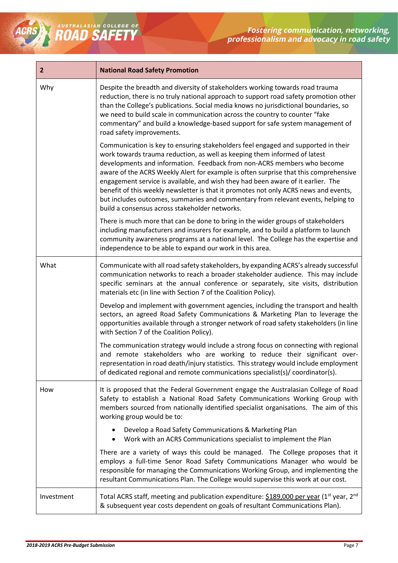

| $\overline{2}$ | <b>National Road Safety Promotion</b>                                                                                                                                                                                                                                                                                                                                                                                                                                                                                                                                                                                                               |  |  |  |  |
|----------------|-----------------------------------------------------------------------------------------------------------------------------------------------------------------------------------------------------------------------------------------------------------------------------------------------------------------------------------------------------------------------------------------------------------------------------------------------------------------------------------------------------------------------------------------------------------------------------------------------------------------------------------------------------|--|--|--|--|
| Why            | Despite the breadth and diversity of stakeholders working towards road trauma<br>reduction, there is no truly national approach to support road safety promotion other<br>than the College's publications. Social media knows no jurisdictional boundaries, so<br>we need to build scale in communication across the country to counter "fake<br>commentary" and build a knowledge-based support for safe system management of<br>road safety improvements.                                                                                                                                                                                         |  |  |  |  |
|                | Communication is key to ensuring stakeholders feel engaged and supported in their<br>work towards trauma reduction, as well as keeping them informed of latest<br>developments and information. Feedback from non-ACRS members who become<br>aware of the ACRS Weekly Alert for example is often surprise that this comprehensive<br>engagement service is available, and wish they had been aware of it earlier. The<br>benefit of this weekly newsletter is that it promotes not only ACRS news and events,<br>but includes outcomes, summaries and commentary from relevant events, helping to<br>build a consensus across stakeholder networks. |  |  |  |  |
|                | There is much more that can be done to bring in the wider groups of stakeholders<br>including manufacturers and insurers for example, and to build a platform to launch<br>community awareness programs at a national level. The College has the expertise and<br>independence to be able to expand our work in this area.                                                                                                                                                                                                                                                                                                                          |  |  |  |  |
| What           | Communicate with all road safety stakeholders, by expanding ACRS's already successful<br>communication networks to reach a broader stakeholder audience. This may include<br>specific seminars at the annual conference or separately, site visits, distribution<br>materials etc (in line with Section 7 of the Coalition Policy).                                                                                                                                                                                                                                                                                                                 |  |  |  |  |
|                | Develop and implement with government agencies, including the transport and health<br>sectors, an agreed Road Safety Communications & Marketing Plan to leverage the<br>opportunities available through a stronger network of road safety stakeholders (in line<br>with Section 7 of the Coalition Policy).                                                                                                                                                                                                                                                                                                                                         |  |  |  |  |
|                | The communication strategy would include a strong focus on connecting with regional<br>and remote stakeholders who are working to reduce their significant over-<br>representation in road death/injury statistics. This strategy would include employment<br>of dedicated regional and remote communications specialist(s)/ coordinator(s).                                                                                                                                                                                                                                                                                                        |  |  |  |  |
| How            | It is proposed that the Federal Government engage the Australasian College of Road<br>Safety to establish a National Road Safety Communications Working Group with<br>members sourced from nationally identified specialist organisations. The aim of this<br>working group would be to:                                                                                                                                                                                                                                                                                                                                                            |  |  |  |  |
|                | Develop a Road Safety Communications & Marketing Plan<br>Work with an ACRS Communications specialist to implement the Plan                                                                                                                                                                                                                                                                                                                                                                                                                                                                                                                          |  |  |  |  |
|                | There are a variety of ways this could be managed. The College proposes that it<br>employs a full-time Senor Road Safety Communications Manager who would be<br>responsible for managing the Communications Working Group, and implementing the<br>resultant Communications Plan. The College would supervise this work at our cost.                                                                                                                                                                                                                                                                                                                |  |  |  |  |
| Investment     | Total ACRS staff, meeting and publication expenditure: \$189,000 per year (1 <sup>st</sup> year, 2 <sup>nd</sup><br>& subsequent year costs dependent on goals of resultant Communications Plan).                                                                                                                                                                                                                                                                                                                                                                                                                                                   |  |  |  |  |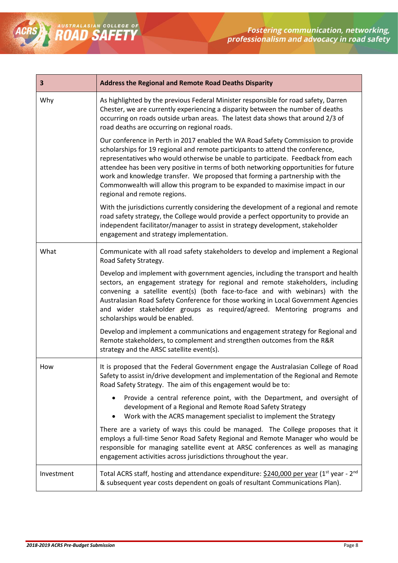| 3          | <b>Address the Regional and Remote Road Deaths Disparity</b>                                                                                                                                                                                                                                                                                                                                                                                                                                                                                    |  |  |  |  |
|------------|-------------------------------------------------------------------------------------------------------------------------------------------------------------------------------------------------------------------------------------------------------------------------------------------------------------------------------------------------------------------------------------------------------------------------------------------------------------------------------------------------------------------------------------------------|--|--|--|--|
| Why        | As highlighted by the previous Federal Minister responsible for road safety, Darren<br>Chester, we are currently experiencing a disparity between the number of deaths<br>occurring on roads outside urban areas. The latest data shows that around 2/3 of<br>road deaths are occurring on regional roads.                                                                                                                                                                                                                                      |  |  |  |  |
|            | Our conference in Perth in 2017 enabled the WA Road Safety Commission to provide<br>scholarships for 19 regional and remote participants to attend the conference,<br>representatives who would otherwise be unable to participate. Feedback from each<br>attendee has been very positive in terms of both networking opportunities for future<br>work and knowledge transfer. We proposed that forming a partnership with the<br>Commonwealth will allow this program to be expanded to maximise impact in our<br>regional and remote regions. |  |  |  |  |
|            | With the jurisdictions currently considering the development of a regional and remote<br>road safety strategy, the College would provide a perfect opportunity to provide an<br>independent facilitator/manager to assist in strategy development, stakeholder<br>engagement and strategy implementation.                                                                                                                                                                                                                                       |  |  |  |  |
| What       | Communicate with all road safety stakeholders to develop and implement a Regional<br>Road Safety Strategy.                                                                                                                                                                                                                                                                                                                                                                                                                                      |  |  |  |  |
|            | Develop and implement with government agencies, including the transport and health<br>sectors, an engagement strategy for regional and remote stakeholders, including<br>convening a satellite event(s) (both face-to-face and with webinars) with the<br>Australasian Road Safety Conference for those working in Local Government Agencies<br>and wider stakeholder groups as required/agreed. Mentoring programs and<br>scholarships would be enabled.                                                                                       |  |  |  |  |
|            | Develop and implement a communications and engagement strategy for Regional and<br>Remote stakeholders, to complement and strengthen outcomes from the R&R<br>strategy and the ARSC satellite event(s).                                                                                                                                                                                                                                                                                                                                         |  |  |  |  |
| How        | It is proposed that the Federal Government engage the Australasian College of Road<br>Safety to assist in/drive development and implementation of the Regional and Remote<br>Road Safety Strategy. The aim of this engagement would be to:                                                                                                                                                                                                                                                                                                      |  |  |  |  |
|            | Provide a central reference point, with the Department, and oversight of<br>development of a Regional and Remote Road Safety Strategy<br>Work with the ACRS management specialist to implement the Strategy                                                                                                                                                                                                                                                                                                                                     |  |  |  |  |
|            | There are a variety of ways this could be managed. The College proposes that it<br>employs a full-time Senor Road Safety Regional and Remote Manager who would be<br>responsible for managing satellite event at ARSC conferences as well as managing<br>engagement activities across jurisdictions throughout the year.                                                                                                                                                                                                                        |  |  |  |  |
| Investment | Total ACRS staff, hosting and attendance expenditure: \$240,000 per year (1 <sup>st</sup> year - 2 <sup>nd</sup><br>& subsequent year costs dependent on goals of resultant Communications Plan).                                                                                                                                                                                                                                                                                                                                               |  |  |  |  |

ROAD SAFETY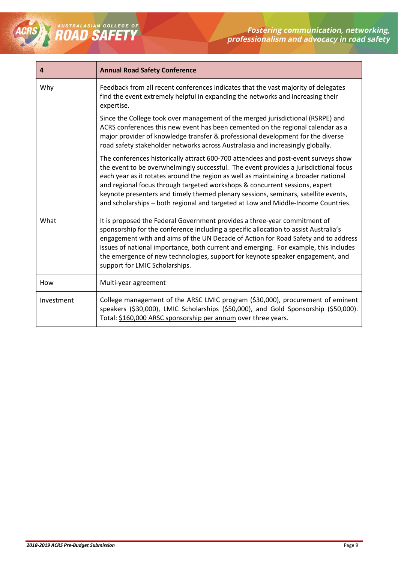

| 4          | <b>Annual Road Safety Conference</b>                                                                                                                                                                                                                                                                                                                                                                                                                                                                                        |  |  |  |  |
|------------|-----------------------------------------------------------------------------------------------------------------------------------------------------------------------------------------------------------------------------------------------------------------------------------------------------------------------------------------------------------------------------------------------------------------------------------------------------------------------------------------------------------------------------|--|--|--|--|
| Why        | Feedback from all recent conferences indicates that the vast majority of delegates<br>find the event extremely helpful in expanding the networks and increasing their<br>expertise.                                                                                                                                                                                                                                                                                                                                         |  |  |  |  |
|            | Since the College took over management of the merged jurisdictional (RSRPE) and<br>ACRS conferences this new event has been cemented on the regional calendar as a<br>major provider of knowledge transfer & professional development for the diverse<br>road safety stakeholder networks across Australasia and increasingly globally.                                                                                                                                                                                     |  |  |  |  |
|            | The conferences historically attract 600-700 attendees and post-event surveys show<br>the event to be overwhelmingly successful. The event provides a jurisdictional focus<br>each year as it rotates around the region as well as maintaining a broader national<br>and regional focus through targeted workshops & concurrent sessions, expert<br>keynote presenters and timely themed plenary sessions, seminars, satellite events,<br>and scholarships - both regional and targeted at Low and Middle-Income Countries. |  |  |  |  |
| What       | It is proposed the Federal Government provides a three-year commitment of<br>sponsorship for the conference including a specific allocation to assist Australia's<br>engagement with and aims of the UN Decade of Action for Road Safety and to address<br>issues of national importance, both current and emerging. For example, this includes<br>the emergence of new technologies, support for keynote speaker engagement, and<br>support for LMIC Scholarships.                                                         |  |  |  |  |
| How        | Multi-year agreement                                                                                                                                                                                                                                                                                                                                                                                                                                                                                                        |  |  |  |  |
| Investment | College management of the ARSC LMIC program (\$30,000), procurement of eminent<br>speakers (\$30,000), LMIC Scholarships (\$50,000), and Gold Sponsorship (\$50,000).<br>Total: \$160,000 ARSC sponsorship per annum over three years.                                                                                                                                                                                                                                                                                      |  |  |  |  |

ROAD SAFETY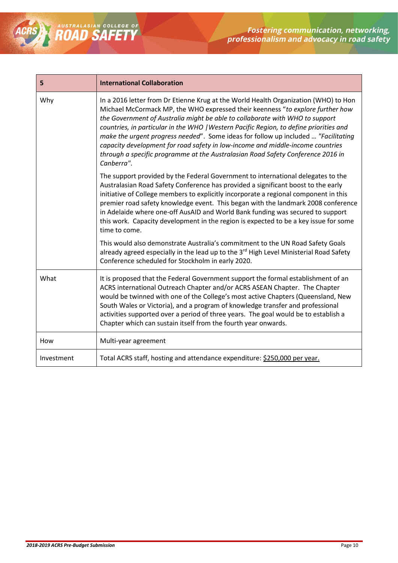| 5          | <b>International Collaboration</b>                                                                                                                                                                                                                                                                                                                                                                                                                                                                                                                                                                                       |  |  |  |  |
|------------|--------------------------------------------------------------------------------------------------------------------------------------------------------------------------------------------------------------------------------------------------------------------------------------------------------------------------------------------------------------------------------------------------------------------------------------------------------------------------------------------------------------------------------------------------------------------------------------------------------------------------|--|--|--|--|
| Why        | In a 2016 letter from Dr Etienne Krug at the World Health Organization (WHO) to Hon<br>Michael McCormack MP, the WHO expressed their keenness "to explore further how<br>the Government of Australia might be able to collaborate with WHO to support<br>countries, in particular in the WHO   Western Pacific Region, to define priorities and<br>make the urgent progress needed". Some ideas for follow up included  "Facilitating<br>capacity development for road safety in low-income and middle-income countries<br>through a specific programme at the Australasian Road Safety Conference 2016 in<br>Canberra". |  |  |  |  |
|            | The support provided by the Federal Government to international delegates to the<br>Australasian Road Safety Conference has provided a significant boost to the early<br>initiative of College members to explicitly incorporate a regional component in this<br>premier road safety knowledge event. This began with the landmark 2008 conference<br>in Adelaide where one-off AusAID and World Bank funding was secured to support<br>this work. Capacity development in the region is expected to be a key issue for some<br>time to come.                                                                            |  |  |  |  |
|            | This would also demonstrate Australia's commitment to the UN Road Safety Goals<br>already agreed especially in the lead up to the 3rd High Level Ministerial Road Safety<br>Conference scheduled for Stockholm in early 2020.                                                                                                                                                                                                                                                                                                                                                                                            |  |  |  |  |
| What       | It is proposed that the Federal Government support the formal establishment of an<br>ACRS international Outreach Chapter and/or ACRS ASEAN Chapter. The Chapter<br>would be twinned with one of the College's most active Chapters (Queensland, New<br>South Wales or Victoria), and a program of knowledge transfer and professional<br>activities supported over a period of three years. The goal would be to establish a<br>Chapter which can sustain itself from the fourth year onwards.                                                                                                                           |  |  |  |  |
| How        | Multi-year agreement                                                                                                                                                                                                                                                                                                                                                                                                                                                                                                                                                                                                     |  |  |  |  |
| Investment | Total ACRS staff, hosting and attendance expenditure: \$250,000 per year.                                                                                                                                                                                                                                                                                                                                                                                                                                                                                                                                                |  |  |  |  |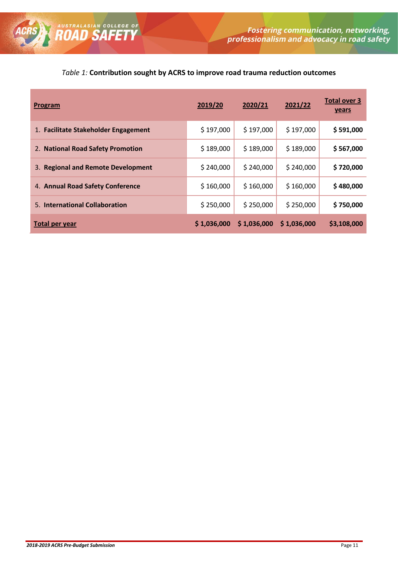### *Table 1:* **Contribution sought by ACRS to improve road trauma reduction outcomes**

| Program                              | 2019/20     | 2020/21     | 2021/22     | <b>Total over 3</b><br><b>years</b> |
|--------------------------------------|-------------|-------------|-------------|-------------------------------------|
| 1. Facilitate Stakeholder Engagement | \$197,000   | \$197,000   | \$197,000   | \$591,000                           |
| 2. National Road Safety Promotion    | \$189,000   | \$189,000   | \$189,000   | \$567,000                           |
| 3. Regional and Remote Development   | \$240,000   | \$240,000   | \$240,000   | \$720,000                           |
| 4. Annual Road Safety Conference     | \$160,000   | \$160,000   | \$160,000   | \$480,000                           |
| 5. International Collaboration       | \$250,000   | \$250,000   | \$250,000   | \$750,000                           |
| Total per year                       | \$1,036,000 | \$1,036,000 | \$1,036,000 | \$3,108,000                         |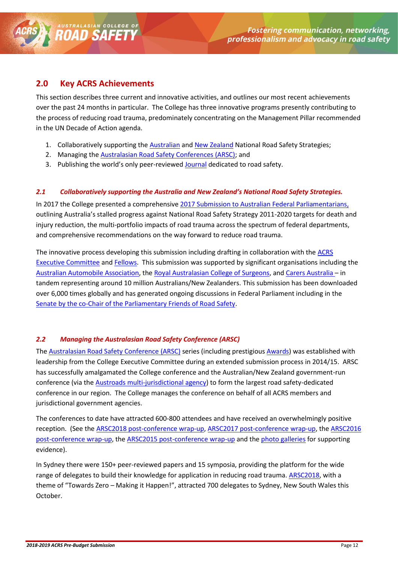### <span id="page-11-0"></span>**2.0 Key ACRS Achievements**

AUSTRALASIAN COLLEGE OF

This section describes three current and innovative activities, and outlines our most recent achievements over the past 24 months in particular. The College has three innovative programs presently contributing to the process of reducing road trauma, predominately concentrating on the Management Pillar recommended in the UN Decade of Action agenda.

- 1. Collaboratively supporting the [Australian](http://roadsafety.gov.au/) and [New Zealand](http://www.saferjourneys.govt.nz/) National Road Safety Strategies;
- 2. Managing the [Australasian Road Safety Conferences \(ARSC\);](http://australasianroadsafetyconference.com.au/) and
- 3. Publishing the world's only peer-reviewe[d Journal](http://acrs.org.au/wp-content/uploads/2016-17-Executive-Committee.pdf) dedicated to road safety.

#### <span id="page-11-1"></span>*2.1 Collaboratively supporting the Australia and New Zealand's National Road Safety Strategies.*

In 2017 the College presented a comprehensive [2017 Submission to Australian Federal Parliamentarians,](http://us7.campaign-archive2.com/?u=a4664bfed5e72009f29785051&id=47c6c4ee67)) outlining Australia's stalled progress against National Road Safety Strategy 2011-2020 targets for death and injury reduction, the multi-portfolio impacts of road trauma across the spectrum of federal departments, and comprehensive recommendations on the way forward to reduce road trauma.

The innovative process developing this submission including drafting in collaboration with the [ACRS](http://acrs.org.au/wp-content/uploads/2016-17-Executive-Committee.pdf)  [Executive Committee](http://acrs.org.au/wp-content/uploads/2016-17-Executive-Committee.pdf) and [Fellows.](http://theaustralasianroadsafetyawards.com.au/past-awards/historical-fellowship-list/) This submission was supported by significant organisations including the [Australian Automobile Association,](http://www.aaa.asn.au/) th[e Royal Australasian College of Surgeons,](https://www.surgeons.org/about/) an[d Carers Australia](http://www.carersaustralia.com.au/about-us/) – in tandem representing around 10 million Australians/New Zealanders. This submission has been downloaded over 6,000 times globally and has generated ongoing discussions in Federal Parliament including in the [Senate by the co-Chair of the Parliamentary Friends of Road Safety.](https://www.youtube.com/watch?v=kjw_BRZThaI&t)

#### <span id="page-11-2"></span>*2.2 Managing the Australasian Road Safety Conference (ARSC)*

The [Australasian Road Safety Conference \(ARSC\)](http://australasianroadsafetyconference.com.au/) series (including prestigious [Awards\)](http://theaustralasianroadsafetyawards.com.au/2017-awards/2017-conference-awards/) was established with leadership from the College Executive Committee during an extended submission process in 2014/15. ARSC has successfully amalgamated the College conference and the Australian/New Zealand government-run conference (via the [Austroads multi-jurisdictional agency\)](http://www.austroads.com.au/) to form the largest road safety-dedicated conference in our region. The College manages the conference on behalf of all ACRS members and jurisdictional government agencies.

The conferences to date have attracted 600-800 attendees and have received an overwhelmingly positive reception. (See the [ARSC2018 post-conference wrap-up,](https://mailchi.mp/acrs/the-wrap-our-arsc2018-post-event-summary-thank-you-for-such-an-educational-energising-and-uplifting-event-aimed-at-combatting-road-trauma-1000029) ARSC2017 [post-conference wrap-up,](http://mailchi.mp/acrs/the-post-conference-wrap-up-999429?e=6e8f765557) the [ARSC2016](http://us7.campaign-archive2.com/?u=a4664bfed5e72009f29785051&id=3e24922e9f&e=)  [post-conference wrap-up,](http://us7.campaign-archive2.com/?u=a4664bfed5e72009f29785051&id=3e24922e9f&e=) the [ARSC2015 post-conference wrap-up](http://us7.campaign-archive1.com/?u=a4664bfed5e72009f29785051&id=223ea3e0c6&e=6e8f765557) and th[e photo galleries](https://www.flickr.com/photos/109216263@N05/albums/with/72157658414290433) for supporting evidence).

In Sydney there were 150+ peer-reviewed papers and 15 symposia, providing the platform for the wide range of delegates to build their knowledge for application in reducing road trauma. [ARSC2018,](https://us7.campaign-archive.com/?u=a4664bfed5e72009f29785051&id=50de58034e#LMIC) with a theme of "Towards Zero – Making it Happen!", attracted 700 delegates to Sydney, New South Wales this October.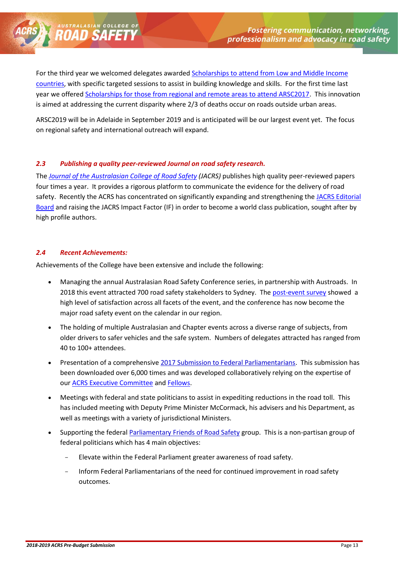

ARSC2019 will be in Adelaide in September 2019 and is anticipated will be our largest event yet. The focus on regional safety and international outreach will expand.

#### <span id="page-12-0"></span>*2.3 Publishing a quality peer-reviewed Journal on road safety research.*

The *[Journal of the Australasian College of Road Safety](http://acrs.org.au/publications/journals/) (JACRS)* publishes high quality peer-reviewed papers four times a year. It provides a rigorous platform to communicate the evidence for the delivery of road safety. Recently the ACRS has concentrated on significantly expanding and strengthening the [JACRS Editorial](http://acrs.org.au/publications/journals/editorial-board/)  [Board](http://acrs.org.au/publications/journals/editorial-board/) and raising the JACRS Impact Factor (IF) in order to become a world class publication, sought after by high profile authors.

#### <span id="page-12-1"></span>*2.4 Recent Achievements:*

AUSTRALASIAN COLLI

Achievements of the College have been extensive and include the following:

- Managing the annual Australasian Road Safety Conference series, in partnership with Austroads. In 2018 this event attracted 700 road safety stakeholders to Sydney. The [post-event survey](http://acrs.org.au/wp-content/uploads/ARSC2018-Post-Event-Evaluation-Summary.pdf) showed a high level of satisfaction across all facets of the event, and the conference has now become the major road safety event on the calendar in our region.
- The holding of multiple Australasian and Chapter events across a diverse range of subjects, from older drivers to safer vehicles and the safe system. Numbers of delegates attracted has ranged from 40 to 100+ attendees.
- Presentation of a comprehensive [2017 Submission to Federal Parliamentarians.](http://us7.campaign-archive2.com/?u=a4664bfed5e72009f29785051&id=47c6c4ee67) This submission has been downloaded over 6,000 times and was developed collaboratively relying on the expertise of our [ACRS Executive Committee](http://acrs.org.au/wp-content/uploads/2016-17-Executive-Committee.pdf) an[d Fellows.](http://theaustralasianroadsafetyawards.com.au/past-awards/historical-fellowship-list/)
- Meetings with federal and state politicians to assist in expediting reductions in the road toll. This has included meeting with Deputy Prime Minister McCormack, his advisers and his Department, as well as meetings with a variety of jurisdictional Ministers.
- Supporting the federal [Parliamentary Friends of Road Safety](http://acrs.us7.list-manage.com/track/click?u=a4664bfed5e72009f29785051&id=1a28661ec8&e=6e8f765557) group. This is a non-partisan group of federal politicians which has 4 main objectives:
	- Elevate within the Federal Parliament greater awareness of road safety.
	- Inform Federal Parliamentarians of the need for continued improvement in road safety outcomes.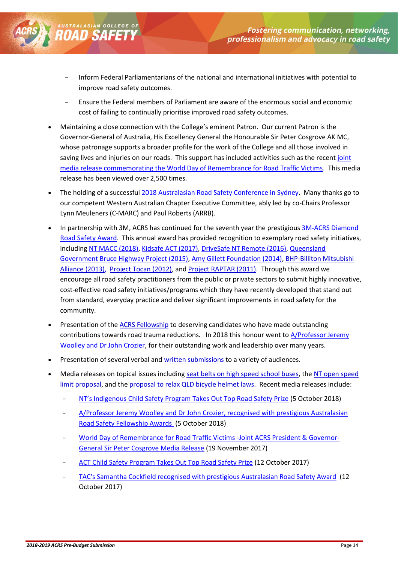- Inform Federal Parliamentarians of the national and international initiatives with potential to improve road safety outcomes.
- Ensure the Federal members of Parliament are aware of the enormous social and economic cost of failing to continually prioritise improved road safety outcomes.
- Maintaining a close connection with the College's eminent Patron. Our current Patron is the Governor-General of Australia, His Excellency General the Honourable Sir Peter Cosgrove AK MC, whose patronage supports a broader profile for the work of the College and all those involved in saving lives and injuries on our roads. This support has included activities such as the recent joint [media release commemorating the World Day of Remembrance for Road Traffic Victims.](http://mailchi.mp/acrs/world-day-of-remembrance-for-road-traffic-victims-joint-governor-generalacrs-media-release-999457?e=%5bUNIQID%5d) This media release has been viewed over 2,500 times.
- The holding of a successful 2018 [Australasian Road Safety Conference in Sydney.](https://mailchi.mp/acrs/the-wrap-our-arsc2018-post-event-summary-thank-you-for-such-an-educational-energising-and-uplifting-event-aimed-at-combatting-road-trauma-1000029) Many thanks go to our competent Western Australian Chapter Executive Committee, ably led by co-Chairs Professor Lynn Meuleners (C-MARC) and Paul Roberts (ARRB).
- In partnership with 3M, ACRS has continued for the seventh year the prestigious 3M-ACRS Diamond [Road Safety Award.](http://theaustralasianroadsafetyawards.com.au/2018-awards/3m-acrs-award/) This annual award has provided recognition to exemplary road safety initiatives, including [NT MACC \(2018\),](https://mailchi.mp/acrs/australasias-premier-road-safety-award-to-acts-kidsafe-program-999945?e=6940cb5d50) [Kidsafe ACT \(2017\),](http://mailchi.mp/acrs/australasias-premier-road-safety-award-to-acts-kidsafe-program-999377?e=6e8f765557) [DriveSafe NT Remote \(2016\),](https://us7.campaign-archive.com/?u=a4664bfed5e72009f29785051&id=2b9055d199) [Queensland](https://us7.campaign-archive.com/?u=a4664bfed5e72009f29785051&id=c0251c7ea4&e=9de4fd43da)  [Government Bruce Highway Project \(2015\),](https://us7.campaign-archive.com/?u=a4664bfed5e72009f29785051&id=c0251c7ea4&e=9de4fd43da) [Amy Gillett Foundation \(2014\),](http://theaustralasianroadsafetyawards.com.au/past-awards/2014-3m-acrs-diamond-road-safety-award/) [BHP-Billiton Mitsubishi](http://acrs.us7.list-manage.com/track/click?u=a4664bfed5e72009f29785051&id=01b391bbec&e=6e8f765557)  [Alliance](http://acrs.us7.list-manage.com/track/click?u=a4664bfed5e72009f29785051&id=01b391bbec&e=6e8f765557) (2013), [Project Tocan \(2012\),](http://acrs.us7.list-manage.com/track/click?u=a4664bfed5e72009f29785051&id=509eeec268&e=6e8f765557) and [Project RAPTAR \(2011\).](http://acrs.us7.list-manage1.com/track/click?u=a4664bfed5e72009f29785051&id=d994c3d2aa&e=6e8f765557) Through this award we encourage all road safety practitioners from the public or private sectors to submit highly innovative, cost-effective road safety initiatives/programs which they have recently developed that stand out from standard, everyday practice and deliver significant improvements in road safety for the community.
- Presentation of the [ACRS Fellowship](http://acrs.us7.list-manage.com/track/click?u=a4664bfed5e72009f29785051&id=b587ab3b4b&e=6e8f765557) to deserving candidates who have made outstanding contributions towards road trauma reductions. In 2018 this honour went t[o A/Professor Jeremy](https://mailchi.mp/acrs/prestigious-australasian-road-safety-award-to-tacs-samantha-cockfield-999957?e=6940cb5d50)  [Woolley and Dr John Crozier,](https://mailchi.mp/acrs/prestigious-australasian-road-safety-award-to-tacs-samantha-cockfield-999957?e=6940cb5d50) for their outstanding work and leadership over many years.
- Presentation of several verbal and [written submissions](http://acrs.us7.list-manage.com/track/click?u=a4664bfed5e72009f29785051&id=f1c4a76b40&e=6e8f765557) to a variety of audiences.
- Media releases on topical issues including [seat belts on high speed school buses,](http://acrs.us7.list-manage1.com/track/click?u=a4664bfed5e72009f29785051&id=c44a2d53a5&e=6e8f765557) th[e NT open speed](http://acrs.us7.list-manage1.com/track/click?u=a4664bfed5e72009f29785051&id=baa85edb46&e=6e8f765557)  [limit proposal,](http://acrs.us7.list-manage1.com/track/click?u=a4664bfed5e72009f29785051&id=baa85edb46&e=6e8f765557) and th[e proposal to relax QLD bicycle helmet laws.](http://acrs.us7.list-manage1.com/track/click?u=a4664bfed5e72009f29785051&id=e180ab1083&e=6e8f765557) Recent media releases include:
	- [NT's Indigenous Child Safety Program Takes Out Top Road Safety Prize](http://acrs.org.au/2018/10/nts-indigenous-child-safety-program-takes-out-top-road-safety-prize/) (5 October 2018)
	- A/Professor Jeremy Woolley and Dr John Crozier, recognised with prestigious Australasian [Road Safety Fellowship Awards](http://acrs.org.au/2018/10/aprofessor-jeremy-woolley-and-dr-john-crozier-recognised-with-prestigious-australasian-road-safety-fellowship-awards/) (5 October 2018)
	- [World Day of Remembrance for Road Traffic Victims -Joint ACRS President & Governor-](http://mailchi.mp/acrs/world-day-of-remembrance-for-road-traffic-victims-joint-governor-generalacrs-media-release-999461)[General Sir Peter Cosgrove Media Release](http://mailchi.mp/acrs/world-day-of-remembrance-for-road-traffic-victims-joint-governor-generalacrs-media-release-999461) (19 November 2017)
	- [ACT Child Safety Program Takes Out Top Road Safety Prize](http://mailchi.mp/acrs/australasias-premier-road-safety-award-to-acts-kidsafe-program-999389) (12 October 2017)
	- [TAC's Samantha Cockfield recognised with prestigious Australasian Road Safety Award](http://mailchi.mp/acrs/prestigious-australasian-road-safety-award-to-tacs-samantha-cockfield-999381) (12 October 2017)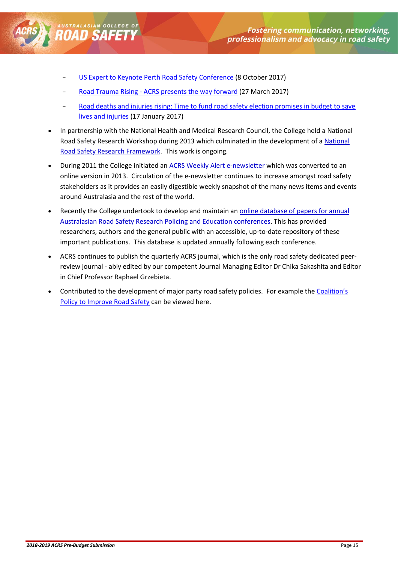

[US Expert to Keynote Perth Road Safety Conference](http://mailchi.mp/acrs/conference-opening-media-call-conference-aims-to-put-a-brake-on-australias-rising-road-trauma-rate-999365) (8 October 2017)

- Road Trauma Rising [ACRS presents the way forward](https://us7.campaign-archive.com/?u=a4664bfed5e72009f29785051&id=3169eba07a) (27 March 2017)
- Road deaths and injuries rising: Time to fund road safety election promises in budget to save [lives and injuries](http://us7.campaign-archive1.com/?u=a4664bfed5e72009f29785051&id=e161913717&e=6e8f765557) (17 January 2017)
- In partnership with the National Health and Medical Research Council, the College held a National Road Safety Research Workshop during 2013 which culminated in the development of a [National](http://acrs.us7.list-manage.com/track/click?u=a4664bfed5e72009f29785051&id=82fe40619e&e=6e8f765557)  [Road Safety Research Framework.](http://acrs.us7.list-manage.com/track/click?u=a4664bfed5e72009f29785051&id=82fe40619e&e=6e8f765557) This work is ongoing.
- During 2011 the College initiated an [ACRS Weekly Alert e-newsletter](http://mailchi.mp/acrs/acrs-weekly-alert-no248-999481?e=b938acc9c0) which was converted to an online version in 2013. Circulation of the e-newsletter continues to increase amongst road safety stakeholders as it provides an easily digestible weekly snapshot of the many news items and events around Australasia and the rest of the world.
- Recently the College undertook to develop and maintain an online database of papers for annual [Australasian Road Safety Research Policing and Education conferences.](http://acrs.us7.list-manage2.com/track/click?u=a4664bfed5e72009f29785051&id=1cb9fc0969&e=6e8f765557) This has provided researchers, authors and the general public with an accessible, up-to-date repository of these important publications. This database is updated annually following each conference.
- ACRS continues to publish the quarterly [ACRS journal,](http://acrs.us7.list-manage.com/track/click?u=a4664bfed5e72009f29785051&id=905ac94d51&e=6e8f765557) which is the only road safety dedicated peerreview journal - ably edited by our competent Journal Managing Editor Dr Chika Sakashita and Editor in Chief Professor Raphael Grzebieta.
- Contributed to the development of major party road safety policies. For example the [Coalition's](http://lpaweb-static.s3.amazonaws.com/The%20Coalitions%20Policy%20to%20Improve%20Road%20Safety.pdfhttp:/acrs.us7.list-manage.com/track/click?u=a4664bfed5e72009f29785051&id=098f18181e&e=6e8f765557)  [Policy to Improve Road Safety](http://lpaweb-static.s3.amazonaws.com/The%20Coalitions%20Policy%20to%20Improve%20Road%20Safety.pdfhttp:/acrs.us7.list-manage.com/track/click?u=a4664bfed5e72009f29785051&id=098f18181e&e=6e8f765557) can be viewed here.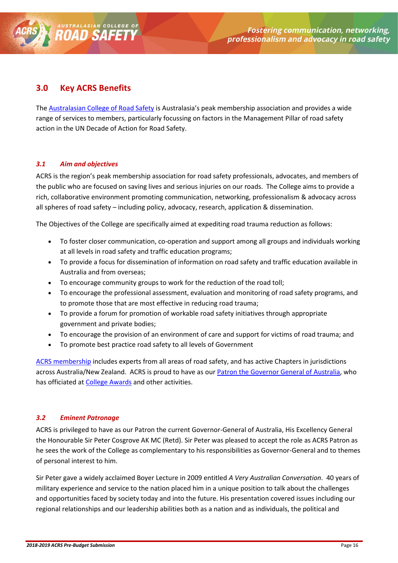### <span id="page-15-0"></span>**3.0 Key ACRS Benefits**

AUSTRALASIAN COLLEG

The [Australasian College of Road Safety](http://acrs.org.au/wp-content/uploads/2016-17-Executive-Committee.pdf) is Australasia's peak membership association and provides a wide range of services to members, particularly focussing on factors in the Management Pillar of road safety action in the UN Decade of Action for Road Safety.

#### <span id="page-15-1"></span>*3.1 Aim and objectives*

ACRS is the region's peak membership association for road safety professionals, advocates, and members of the public who are focused on saving lives and serious injuries on our roads. The College aims to provide a rich, collaborative environment promoting communication, networking, professionalism & advocacy across all spheres of road safety – including policy, advocacy, research, application & dissemination.

The Objectives of the College are specifically aimed at expediting road trauma reduction as follows:

- To foster closer communication, co-operation and support among all groups and individuals working at all levels in road safety and traffic education programs;
- To provide a focus for dissemination of information on road safety and traffic education available in Australia and from overseas;
- To encourage community groups to work for the reduction of the road toll;
- To encourage the professional assessment, evaluation and monitoring of road safety programs, and to promote those that are most effective in reducing road trauma;
- To provide a forum for promotion of workable road safety initiatives through appropriate government and private bodies;
- To encourage the provision of an environment of care and support for victims of road trauma; and
- To promote best practice road safety to all levels of Government

[ACRS membership](http://acrs.org.au/membership/) includes experts from all areas of road safety, and has active Chapters in jurisdictions across Australia/New Zealand. ACRS is proud to have as our [Patron the Governor General of Australia,](http://acrs.org.au/about-us/patron/) who has officiated at [College Awards](http://theaustralasianroadsafetyawards.com.au/past-awards/2014-fellowship/) and other activities.

#### <span id="page-15-2"></span>*3.2 Eminent Patronage*

ACRS is privileged to have as our Patron the current Governor-General of Australia, His Excellency General the Honourable Sir Peter Cosgrove AK MC (Retd). Sir Peter was pleased to accept the role as ACRS Patron as he sees the work of the College as complementary to his responsibilities as Governor-General and to themes of personal interest to him.

Sir Peter gave a widely acclaimed Boyer Lecture in 2009 entitled *A Very Australian Conversation*. 40 years of military experience and service to the nation placed him in a unique position to talk about the challenges and opportunities faced by society today and into the future. His presentation covered issues including our regional relationships and our leadership abilities both as a nation and as individuals, the political and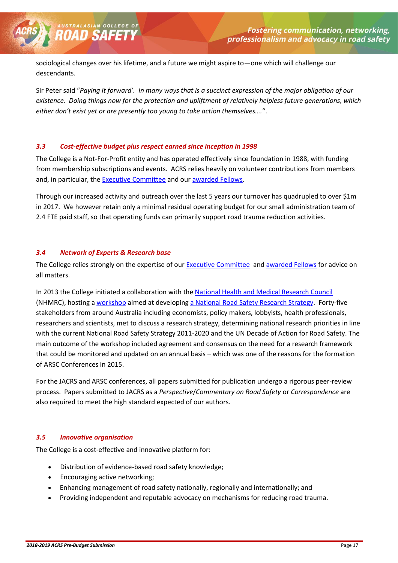sociological changes over his lifetime, and a future we might aspire to—one which will challenge our descendants.

Sir Peter said "*Paying it forward'. In many ways that is a succinct expression of the major obligation of our existence. Doing things now for the protection and upliftment of relatively helpless future generations, which either don't exist yet or are presently too young to take action themselves….*".

#### <span id="page-16-0"></span>*3.3 Cost-effective budget plus respect earned since inception in 1998*

The College is a Not-For-Profit entity and has operated effectively since foundation in 1988, with funding from membership subscriptions and events. ACRS relies heavily on volunteer contributions from members and, in particular, th[e Executive Committee](http://acrs.org.au/wp-content/uploads/2016-17-Executive-Committee.pdf) and ou[r awarded Fellows.](http://theaustralasianroadsafetyawards.com.au/background/fellowship/list-of-fellows/)

Through our increased activity and outreach over the last 5 years our turnover has quadrupled to over \$1m in 2017. We however retain only a minimal residual operating budget for our small administration team of 2.4 FTE paid staff, so that operating funds can primarily support road trauma reduction activities.

#### <span id="page-16-1"></span>*3.4 Network of Experts & Research base*

AUSTRALASIAN COLLI

The College relies strongly on the expertise of ou[r Executive Committee](http://acrs.org.au/wp-content/uploads/2016-17-Executive-Committee.pdf) and [awarded Fellows](http://theaustralasianroadsafetyawards.com.au/background/fellowship/list-of-fellows/) for advice on all matters.

In 2013 the College initiated a collaboration with th[e National Health and Medical Research Council](https://www.nhmrc.gov.au/) (NHMRC), hosting [a workshop](http://acrs.org.au/wp-content/uploads/Road-Safety-Workshop-Report.pdf) aimed at developing [a National Road Safety Research Strategy.](http://acrs.org.au/publications/national-road-safety-research-framework/) Forty-five stakeholders from around Australia including economists, policy makers, lobbyists, health professionals, researchers and scientists, met to discuss a research strategy, determining national research priorities in line with the current National Road Safety Strategy 2011-2020 and the UN Decade of Action for Road Safety. The main outcome of the workshop included agreement and consensus on the need for a research framework that could be monitored and updated on an annual basis – which was one of the reasons for the formation of ARSC Conferences in 2015.

For the JACRS and ARSC conferences, all papers submitted for publication undergo a rigorous peer-review process. Papers submitted to JACRS as a *Perspective*/*Commentary on Road Safety* or *Correspondence* are also required to meet the high standard expected of our authors.

#### <span id="page-16-2"></span>*3.5 Innovative organisation*

The College is a cost-effective and innovative platform for:

- Distribution of evidence-based road safety knowledge;
- Encouraging active networking;
- Enhancing management of road safety nationally, regionally and internationally; and
- Providing independent and reputable advocacy on mechanisms for reducing road trauma.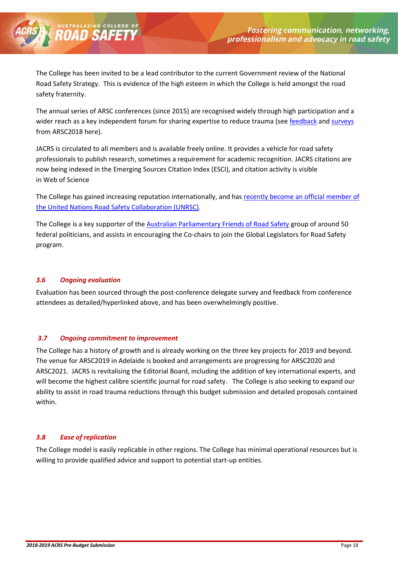The College has been invited to be a lead contributor to the current Government review of the National Road Safety Strategy. This is evidence of the high esteem in which the College is held amongst the road safety fraternity.

The annual series of ARSC conferences (since 2015) are recognised widely through high participation and a wider reach as a key independent forum for sharing expertise to reduce trauma (see [feedback](https://us7.campaign-archive.com/?u=a4664bfed5e72009f29785051&id=50de58034e#FEEDBACK) an[d surveys](https://us7.campaign-archive.com/?u=a4664bfed5e72009f29785051&id=50de58034e#SURVEY) from ARSC2018 here).

JACRS is circulated to all members and is available freely online. It provides a vehicle for road safety professionals to publish research, sometimes a requirement for academic recognition. JACRS citations are now being indexed in the Emerging Sources Citation Index (ESCI), and citation activity is visible in Web of Science

The College has gained increasing reputation internationally, and ha[s recently become an official member of](http://us7.campaign-archive2.com/?u=a4664bfed5e72009f29785051&id=32a961981b#ELECTED)  [the United Nations Road Safety Collaboration \(UNRSC\).](http://us7.campaign-archive2.com/?u=a4664bfed5e72009f29785051&id=32a961981b#ELECTED)

The College is a key supporter of the [Australian Parliamentary Friends of Road Safety](https://www.youtube.com/watch?v=kjw_BRZThaI&t) group of around 50 federal politicians, and assists in encouraging the Co-chairs to join the Global Legislators for Road Safety program.

#### <span id="page-17-0"></span>*3.6 Ongoing evaluation*

**AUSTRALASIAN COLLE** 

Evaluation has been sourced through the post-conference delegate survey and feedback from conference attendees as detailed/hyperlinked above, and has been overwhelmingly positive.

#### <span id="page-17-1"></span>*3.7 Ongoing commitment to improvement*

The College has a history of growth and is already working on the three key projects for 2019 and beyond. The venue for ARSC2019 in Adelaide is booked and arrangements are progressing for ARSC2020 and ARSC2021. JACRS is revitalising the Editorial Board, including the addition of key international experts, and will become the highest calibre scientific journal for road safety. The College is also seeking to expand our ability to assist in road trauma reductions through this budget submission and detailed proposals contained within.

#### <span id="page-17-2"></span>*3.8 Ease of replication*

The College model is easily replicable in other regions. The College has minimal operational resources but is willing to provide qualified advice and support to potential start-up entities.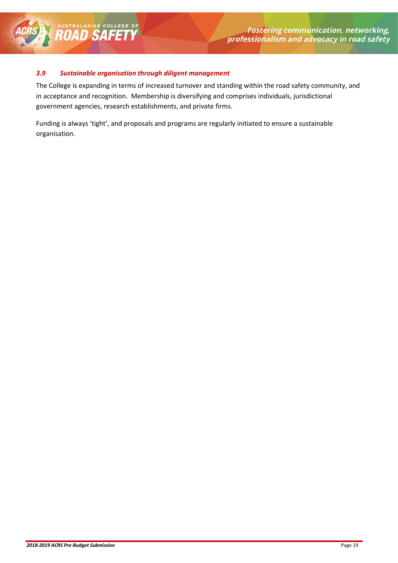#### <span id="page-18-0"></span>*3.9 Sustainable organisation through diligent management*

AUSTRALASIAN COLLEGE OF

The College is expanding in terms of increased turnover and standing within the road safety community, and in acceptance and recognition. Membership is diversifying and comprises individuals, jurisdictional government agencies, research establishments, and private firms.

Funding is always 'tight', and proposals and programs are regularly initiated to ensure a sustainable organisation.